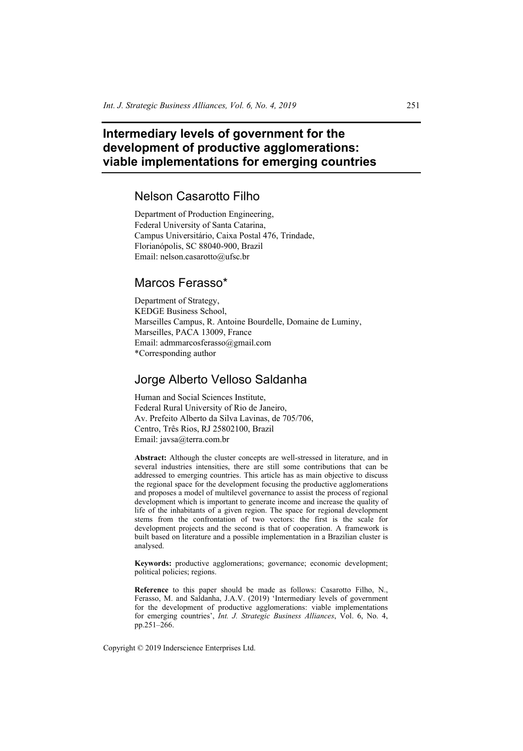# **Intermediary levels of government for the development of productive agglomerations: viable implementations for emerging countries**

### Nelson Casarotto Filho

Department of Production Engineering, Federal University of Santa Catarina, Campus Universitário, Caixa Postal 476, Trindade, Florianópolis, SC 88040-900, Brazil Email: nelson.casarotto@ufsc.br

# Marcos Ferasso\*

Department of Strategy, KEDGE Business School, Marseilles Campus, R. Antoine Bourdelle, Domaine de Luminy, Marseilles, PACA 13009, France Email: admmarcosferasso@gmail.com \*Corresponding author

## Jorge Alberto Velloso Saldanha

Human and Social Sciences Institute, Federal Rural University of Rio de Janeiro, Av. Prefeito Alberto da Silva Lavinas, de 705/706, Centro, Três Rios, RJ 25802100, Brazil Email: javsa@terra.com.br

**Abstract:** Although the cluster concepts are well-stressed in literature, and in several industries intensities, there are still some contributions that can be addressed to emerging countries. This article has as main objective to discuss the regional space for the development focusing the productive agglomerations and proposes a model of multilevel governance to assist the process of regional development which is important to generate income and increase the quality of life of the inhabitants of a given region. The space for regional development stems from the confrontation of two vectors: the first is the scale for development projects and the second is that of cooperation. A framework is built based on literature and a possible implementation in a Brazilian cluster is analysed.

**Keywords:** productive agglomerations; governance; economic development; political policies; regions.

**Reference** to this paper should be made as follows: Casarotto Filho, N., Ferasso, M. and Saldanha, J.A.V. (2019) 'Intermediary levels of government for the development of productive agglomerations: viable implementations for emerging countries', *Int. J. Strategic Business Alliances*, Vol. 6, No. 4, pp.251–266.

Copyright © 2019 Inderscience Enterprises Ltd.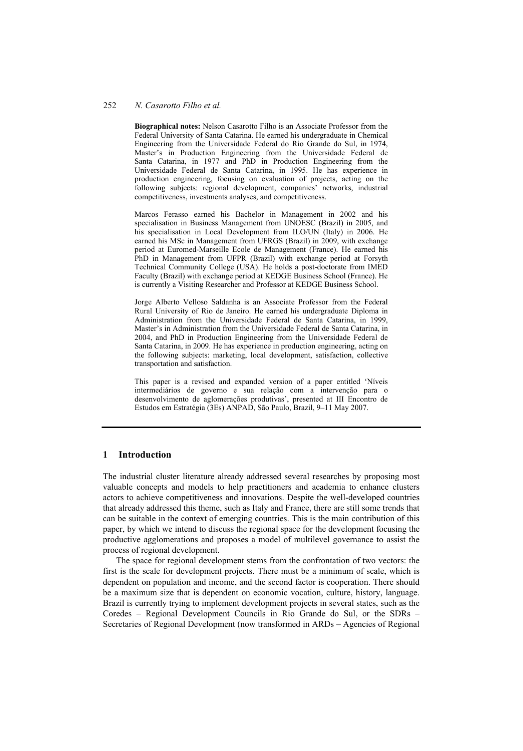**Biographical notes:** Nelson Casarotto Filho is an Associate Professor from the Federal University of Santa Catarina. He earned his undergraduate in Chemical Engineering from the Universidade Federal do Rio Grande do Sul, in 1974, Master's in Production Engineering from the Universidade Federal de Santa Catarina, in 1977 and PhD in Production Engineering from the Universidade Federal de Santa Catarina, in 1995. He has experience in production engineering, focusing on evaluation of projects, acting on the following subjects: regional development, companies' networks, industrial competitiveness, investments analyses, and competitiveness.

Marcos Ferasso earned his Bachelor in Management in 2002 and his specialisation in Business Management from UNOESC (Brazil) in 2005, and his specialisation in Local Development from ILO/UN (Italy) in 2006. He earned his MSc in Management from UFRGS (Brazil) in 2009, with exchange period at Euromed-Marseille Ecole de Management (France). He earned his PhD in Management from UFPR (Brazil) with exchange period at Forsyth Technical Community College (USA). He holds a post-doctorate from IMED Faculty (Brazil) with exchange period at KEDGE Business School (France). He is currently a Visiting Researcher and Professor at KEDGE Business School.

Jorge Alberto Velloso Saldanha is an Associate Professor from the Federal Rural University of Rio de Janeiro. He earned his undergraduate Diploma in Administration from the Universidade Federal de Santa Catarina, in 1999, Master's in Administration from the Universidade Federal de Santa Catarina, in 2004, and PhD in Production Engineering from the Universidade Federal de Santa Catarina, in 2009. He has experience in production engineering, acting on the following subjects: marketing, local development, satisfaction, collective transportation and satisfaction.

This paper is a revised and expanded version of a paper entitled 'Níveis intermediários de governo e sua relação com a intervenção para o desenvolvimento de aglomerações produtivas', presented at III Encontro de Estudos em Estratégia (3Es) ANPAD, São Paulo, Brazil, 9–11 May 2007.

#### **1 Introduction**

The industrial cluster literature already addressed several researches by proposing most valuable concepts and models to help practitioners and academia to enhance clusters actors to achieve competitiveness and innovations. Despite the well-developed countries that already addressed this theme, such as Italy and France, there are still some trends that can be suitable in the context of emerging countries. This is the main contribution of this paper, by which we intend to discuss the regional space for the development focusing the productive agglomerations and proposes a model of multilevel governance to assist the process of regional development.

The space for regional development stems from the confrontation of two vectors: the first is the scale for development projects. There must be a minimum of scale, which is dependent on population and income, and the second factor is cooperation. There should be a maximum size that is dependent on economic vocation, culture, history, language. Brazil is currently trying to implement development projects in several states, such as the Coredes – Regional Development Councils in Rio Grande do Sul, or the SDRs – Secretaries of Regional Development (now transformed in ARDs – Agencies of Regional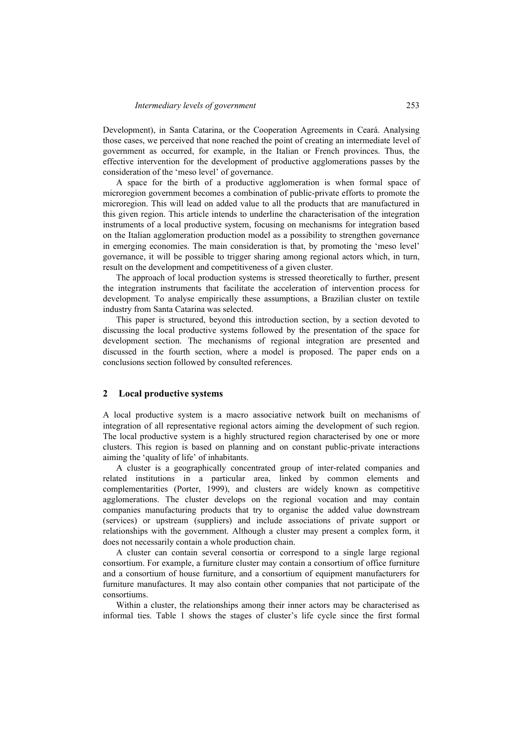Development), in Santa Catarina, or the Cooperation Agreements in Ceará. Analysing those cases, we perceived that none reached the point of creating an intermediate level of government as occurred, for example, in the Italian or French provinces. Thus, the effective intervention for the development of productive agglomerations passes by the consideration of the 'meso level' of governance.

A space for the birth of a productive agglomeration is when formal space of microregion government becomes a combination of public-private efforts to promote the microregion. This will lead on added value to all the products that are manufactured in this given region. This article intends to underline the characterisation of the integration instruments of a local productive system, focusing on mechanisms for integration based on the Italian agglomeration production model as a possibility to strengthen governance in emerging economies. The main consideration is that, by promoting the 'meso level' governance, it will be possible to trigger sharing among regional actors which, in turn, result on the development and competitiveness of a given cluster.

The approach of local production systems is stressed theoretically to further, present the integration instruments that facilitate the acceleration of intervention process for development. To analyse empirically these assumptions, a Brazilian cluster on textile industry from Santa Catarina was selected.

This paper is structured, beyond this introduction section, by a section devoted to discussing the local productive systems followed by the presentation of the space for development section. The mechanisms of regional integration are presented and discussed in the fourth section, where a model is proposed. The paper ends on a conclusions section followed by consulted references.

#### **2 Local productive systems**

A local productive system is a macro associative network built on mechanisms of integration of all representative regional actors aiming the development of such region. The local productive system is a highly structured region characterised by one or more clusters. This region is based on planning and on constant public-private interactions aiming the 'quality of life' of inhabitants.

A cluster is a geographically concentrated group of inter-related companies and related institutions in a particular area, linked by common elements and complementarities (Porter, 1999), and clusters are widely known as competitive agglomerations. The cluster develops on the regional vocation and may contain companies manufacturing products that try to organise the added value downstream (services) or upstream (suppliers) and include associations of private support or relationships with the government. Although a cluster may present a complex form, it does not necessarily contain a whole production chain.

A cluster can contain several consortia or correspond to a single large regional consortium. For example, a furniture cluster may contain a consortium of office furniture and a consortium of house furniture, and a consortium of equipment manufacturers for furniture manufactures. It may also contain other companies that not participate of the consortiums.

Within a cluster, the relationships among their inner actors may be characterised as informal ties. Table 1 shows the stages of cluster's life cycle since the first formal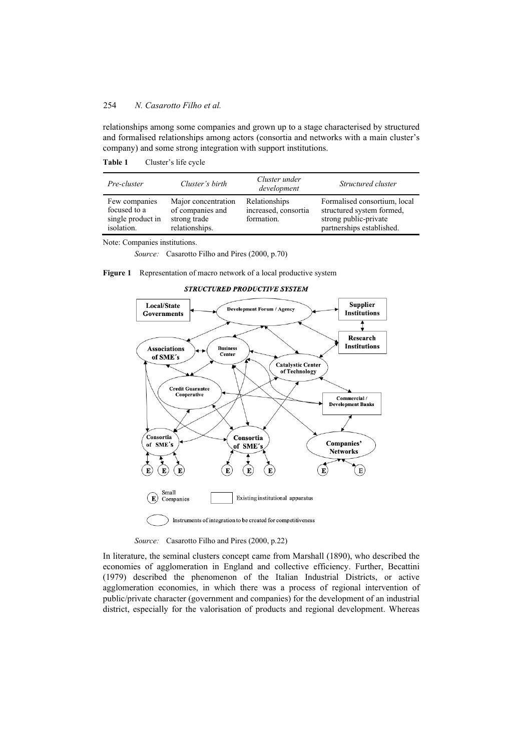relationships among some companies and grown up to a stage characterised by structured and formalised relationships among actors (consortia and networks with a main cluster's company) and some strong integration with support institutions.

**Table 1** Cluster's life cycle

| Pre-cluster                                                      | Cluster's birth                                                           | Cluster under<br>development                        | Structured cluster                                                                                              |
|------------------------------------------------------------------|---------------------------------------------------------------------------|-----------------------------------------------------|-----------------------------------------------------------------------------------------------------------------|
| Few companies<br>focused to a<br>single product in<br>isolation. | Major concentration<br>of companies and<br>strong trade<br>relationships. | Relationships<br>increased, consortia<br>formation. | Formalised consortium, local<br>structured system formed,<br>strong public-private<br>partnerships established. |

Note: Companies institutions.

*Source:* Casarotto Filho and Pires (2000, p.70)

**Figure 1** Representation of macro network of a local productive system



**STRUCTURED PRODUCTIVE SYSTEM** 

*Source:* Casarotto Filho and Pires (2000, p.22)

In literature, the seminal clusters concept came from Marshall (1890), who described the economies of agglomeration in England and collective efficiency. Further, Becattini (1979) described the phenomenon of the Italian Industrial Districts, or active agglomeration economies, in which there was a process of regional intervention of public/private character (government and companies) for the development of an industrial district, especially for the valorisation of products and regional development. Whereas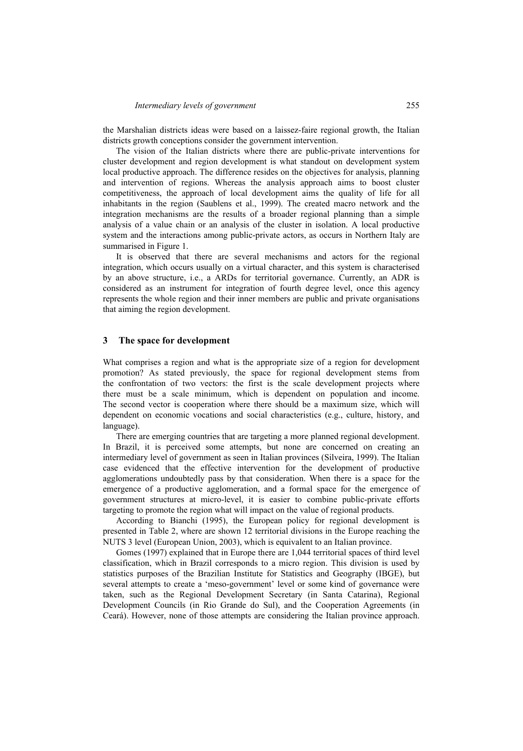the Marshalian districts ideas were based on a laissez-faire regional growth, the Italian districts growth conceptions consider the government intervention.

The vision of the Italian districts where there are public-private interventions for cluster development and region development is what standout on development system local productive approach. The difference resides on the objectives for analysis, planning and intervention of regions. Whereas the analysis approach aims to boost cluster competitiveness, the approach of local development aims the quality of life for all inhabitants in the region (Saublens et al., 1999). The created macro network and the integration mechanisms are the results of a broader regional planning than a simple analysis of a value chain or an analysis of the cluster in isolation. A local productive system and the interactions among public-private actors, as occurs in Northern Italy are summarised in Figure 1.

It is observed that there are several mechanisms and actors for the regional integration, which occurs usually on a virtual character, and this system is characterised by an above structure, i.e., a ARDs for territorial governance. Currently, an ADR is considered as an instrument for integration of fourth degree level, once this agency represents the whole region and their inner members are public and private organisations that aiming the region development.

#### **3 The space for development**

What comprises a region and what is the appropriate size of a region for development promotion? As stated previously, the space for regional development stems from the confrontation of two vectors: the first is the scale development projects where there must be a scale minimum, which is dependent on population and income. The second vector is cooperation where there should be a maximum size, which will dependent on economic vocations and social characteristics (e.g., culture, history, and language).

There are emerging countries that are targeting a more planned regional development. In Brazil, it is perceived some attempts, but none are concerned on creating an intermediary level of government as seen in Italian provinces (Silveira, 1999). The Italian case evidenced that the effective intervention for the development of productive agglomerations undoubtedly pass by that consideration. When there is a space for the emergence of a productive agglomeration, and a formal space for the emergence of government structures at micro-level, it is easier to combine public-private efforts targeting to promote the region what will impact on the value of regional products.

According to Bianchi (1995), the European policy for regional development is presented in Table 2, where are shown 12 territorial divisions in the Europe reaching the NUTS 3 level (European Union, 2003), which is equivalent to an Italian province.

Gomes (1997) explained that in Europe there are 1,044 territorial spaces of third level classification, which in Brazil corresponds to a micro region. This division is used by statistics purposes of the Brazilian Institute for Statistics and Geography (IBGE), but several attempts to create a 'meso-government' level or some kind of governance were taken, such as the Regional Development Secretary (in Santa Catarina), Regional Development Councils (in Rio Grande do Sul), and the Cooperation Agreements (in Ceará). However, none of those attempts are considering the Italian province approach.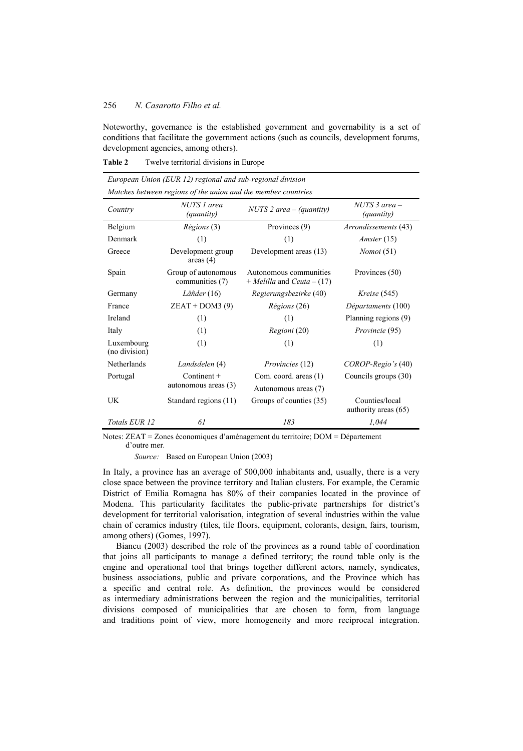Noteworthy, governance is the established government and governability is a set of conditions that facilitate the government actions (such as councils, development forums, development agencies, among others).

**Table 2** Twelve territorial divisions in Europe

| European Union (EUR 12) regional and sub-regional division    |                                        |                                                                        |                                        |  |  |
|---------------------------------------------------------------|----------------------------------------|------------------------------------------------------------------------|----------------------------------------|--|--|
| Matches between regions of the union and the member countries |                                        |                                                                        |                                        |  |  |
| Country                                                       | NUTS 1 area<br><i>(quantity)</i>       | NUTS 2 area $-$ (quantity)                                             | $NUTS$ 3 area $-$<br><i>(quantity)</i> |  |  |
| Belgium                                                       | Régions (3)                            | Provinces (9)                                                          | Arrondissements (43)                   |  |  |
| Denmark                                                       | (1)                                    | (1)                                                                    | Amster(15)                             |  |  |
| Greece                                                        | Development group<br>areas $(4)$       | Development areas (13)                                                 | Nomoi(51)                              |  |  |
| Spain                                                         | Group of autonomous<br>communities (7) | Autonomous communities<br>$+$ <i>Melilla</i> and <i>Ceuta</i> $-$ (17) | Provinces (50)                         |  |  |
| Germany                                                       | Läñder (16)                            | Regierungsbezirke (40)                                                 | Kreise (545)                           |  |  |
| France                                                        | $ZEAT + DOM3(9)$                       | Régions (26)                                                           | Départaments (100)                     |  |  |
| Ireland                                                       | (1)                                    | (1)                                                                    | Planning regions (9)                   |  |  |
| Italy                                                         | (1)                                    | Regioni (20)                                                           | Provincie (95)                         |  |  |
| Luxembourg<br>(no division)                                   | (1)                                    | (1)                                                                    | (1)                                    |  |  |
| <b>Netherlands</b>                                            | Landsdelen (4)                         | Provincies (12)                                                        | $COROP-Regio's (40)$                   |  |  |
| Portugal                                                      | $Content +$<br>autonomous areas (3)    | Com. coord. areas (1)                                                  | Councils groups (30)                   |  |  |
|                                                               |                                        | Autonomous areas (7)                                                   |                                        |  |  |
| UK                                                            | Standard regions (11)                  | Groups of counties (35)                                                | Counties/local<br>authority areas (65) |  |  |
| Totals EUR 12                                                 | 61                                     | 183                                                                    | 1,044                                  |  |  |

Notes: ZEAT = Zones économiques d'aménagement du territoire; DOM = Département d'outre mer.

*Source:* Based on European Union (2003)

In Italy, a province has an average of 500,000 inhabitants and, usually, there is a very close space between the province territory and Italian clusters. For example, the Ceramic District of Emilia Romagna has 80% of their companies located in the province of Modena. This particularity facilitates the public-private partnerships for district's development for territorial valorisation, integration of several industries within the value chain of ceramics industry (tiles, tile floors, equipment, colorants, design, fairs, tourism, among others) (Gomes, 1997).

Biancu (2003) described the role of the provinces as a round table of coordination that joins all participants to manage a defined territory; the round table only is the engine and operational tool that brings together different actors, namely, syndicates, business associations, public and private corporations, and the Province which has a specific and central role. As definition, the provinces would be considered as intermediary administrations between the region and the municipalities, territorial divisions composed of municipalities that are chosen to form, from language and traditions point of view, more homogeneity and more reciprocal integration.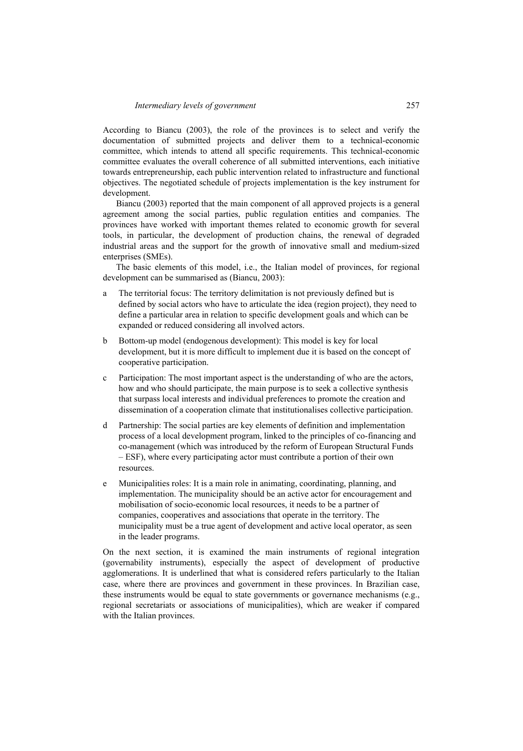According to Biancu (2003), the role of the provinces is to select and verify the documentation of submitted projects and deliver them to a technical-economic committee, which intends to attend all specific requirements. This technical-economic committee evaluates the overall coherence of all submitted interventions, each initiative towards entrepreneurship, each public intervention related to infrastructure and functional objectives. The negotiated schedule of projects implementation is the key instrument for development.

Biancu (2003) reported that the main component of all approved projects is a general agreement among the social parties, public regulation entities and companies. The provinces have worked with important themes related to economic growth for several tools, in particular, the development of production chains, the renewal of degraded industrial areas and the support for the growth of innovative small and medium-sized enterprises (SMEs).

The basic elements of this model, i.e., the Italian model of provinces, for regional development can be summarised as (Biancu, 2003):

- a The territorial focus: The territory delimitation is not previously defined but is defined by social actors who have to articulate the idea (region project), they need to define a particular area in relation to specific development goals and which can be expanded or reduced considering all involved actors.
- b Bottom-up model (endogenous development): This model is key for local development, but it is more difficult to implement due it is based on the concept of cooperative participation.
- c Participation: The most important aspect is the understanding of who are the actors, how and who should participate, the main purpose is to seek a collective synthesis that surpass local interests and individual preferences to promote the creation and dissemination of a cooperation climate that institutionalises collective participation.
- d Partnership: The social parties are key elements of definition and implementation process of a local development program, linked to the principles of co-financing and co-management (which was introduced by the reform of European Structural Funds – ESF), where every participating actor must contribute a portion of their own resources.
- e Municipalities roles: It is a main role in animating, coordinating, planning, and implementation. The municipality should be an active actor for encouragement and mobilisation of socio-economic local resources, it needs to be a partner of companies, cooperatives and associations that operate in the territory. The municipality must be a true agent of development and active local operator, as seen in the leader programs.

On the next section, it is examined the main instruments of regional integration (governability instruments), especially the aspect of development of productive agglomerations. It is underlined that what is considered refers particularly to the Italian case, where there are provinces and government in these provinces. In Brazilian case, these instruments would be equal to state governments or governance mechanisms (e.g., regional secretariats or associations of municipalities), which are weaker if compared with the Italian provinces.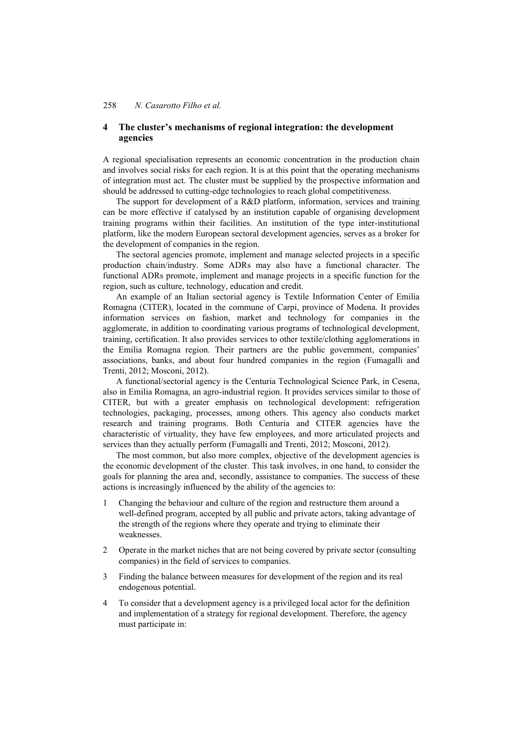#### **4 The cluster's mechanisms of regional integration: the development agencies**

A regional specialisation represents an economic concentration in the production chain and involves social risks for each region. It is at this point that the operating mechanisms of integration must act. The cluster must be supplied by the prospective information and should be addressed to cutting-edge technologies to reach global competitiveness.

The support for development of a R&D platform, information, services and training can be more effective if catalysed by an institution capable of organising development training programs within their facilities. An institution of the type inter-institutional platform, like the modern European sectoral development agencies, serves as a broker for the development of companies in the region.

The sectoral agencies promote, implement and manage selected projects in a specific production chain/industry. Some ADRs may also have a functional character. The functional ADRs promote, implement and manage projects in a specific function for the region, such as culture, technology, education and credit.

An example of an Italian sectorial agency is Textile Information Center of Emilia Romagna (CITER), located in the commune of Carpi, province of Modena. It provides information services on fashion, market and technology for companies in the agglomerate, in addition to coordinating various programs of technological development, training, certification. It also provides services to other textile/clothing agglomerations in the Emilia Romagna region. Their partners are the public government, companies' associations, banks, and about four hundred companies in the region (Fumagalli and Trenti, 2012; Mosconi, 2012).

A functional/sectorial agency is the Centuria Technological Science Park, in Cesena, also in Emilia Romagna, an agro-industrial region. It provides services similar to those of CITER, but with a greater emphasis on technological development: refrigeration technologies, packaging, processes, among others. This agency also conducts market research and training programs. Both Centuria and CITER agencies have the characteristic of virtuality, they have few employees, and more articulated projects and services than they actually perform (Fumagalli and Trenti, 2012; Mosconi, 2012).

The most common, but also more complex, objective of the development agencies is the economic development of the cluster. This task involves, in one hand, to consider the goals for planning the area and, secondly, assistance to companies. The success of these actions is increasingly influenced by the ability of the agencies to:

- 1 Changing the behaviour and culture of the region and restructure them around a well-defined program, accepted by all public and private actors, taking advantage of the strength of the regions where they operate and trying to eliminate their weaknesses.
- 2 Operate in the market niches that are not being covered by private sector (consulting companies) in the field of services to companies.
- 3 Finding the balance between measures for development of the region and its real endogenous potential.
- 4 To consider that a development agency is a privileged local actor for the definition and implementation of a strategy for regional development. Therefore, the agency must participate in: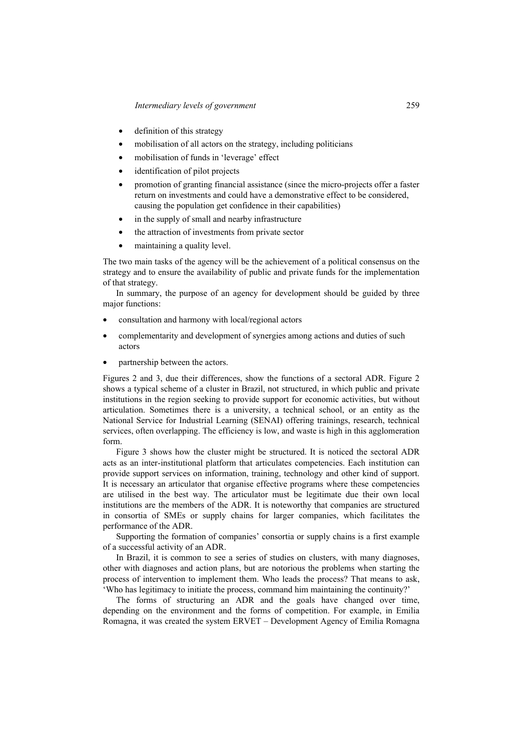- definition of this strategy
- mobilisation of all actors on the strategy, including politicians
- mobilisation of funds in 'leverage' effect
- identification of pilot projects
- promotion of granting financial assistance (since the micro-projects offer a faster return on investments and could have a demonstrative effect to be considered, causing the population get confidence in their capabilities)
- in the supply of small and nearby infrastructure
- the attraction of investments from private sector
- maintaining a quality level.

The two main tasks of the agency will be the achievement of a political consensus on the strategy and to ensure the availability of public and private funds for the implementation of that strategy.

In summary, the purpose of an agency for development should be guided by three major functions:

- consultation and harmony with local/regional actors
- complementarity and development of synergies among actions and duties of such actors
- partnership between the actors.

Figures 2 and 3, due their differences, show the functions of a sectoral ADR. Figure 2 shows a typical scheme of a cluster in Brazil, not structured, in which public and private institutions in the region seeking to provide support for economic activities, but without articulation. Sometimes there is a university, a technical school, or an entity as the National Service for Industrial Learning (SENAI) offering trainings, research, technical services, often overlapping. The efficiency is low, and waste is high in this agglomeration form.

Figure 3 shows how the cluster might be structured. It is noticed the sectoral ADR acts as an inter-institutional platform that articulates competencies. Each institution can provide support services on information, training, technology and other kind of support. It is necessary an articulator that organise effective programs where these competencies are utilised in the best way. The articulator must be legitimate due their own local institutions are the members of the ADR. It is noteworthy that companies are structured in consortia of SMEs or supply chains for larger companies, which facilitates the performance of the ADR.

Supporting the formation of companies' consortia or supply chains is a first example of a successful activity of an ADR.

In Brazil, it is common to see a series of studies on clusters, with many diagnoses, other with diagnoses and action plans, but are notorious the problems when starting the process of intervention to implement them. Who leads the process? That means to ask, 'Who has legitimacy to initiate the process, command him maintaining the continuity?'

The forms of structuring an ADR and the goals have changed over time, depending on the environment and the forms of competition. For example, in Emilia Romagna, it was created the system ERVET – Development Agency of Emilia Romagna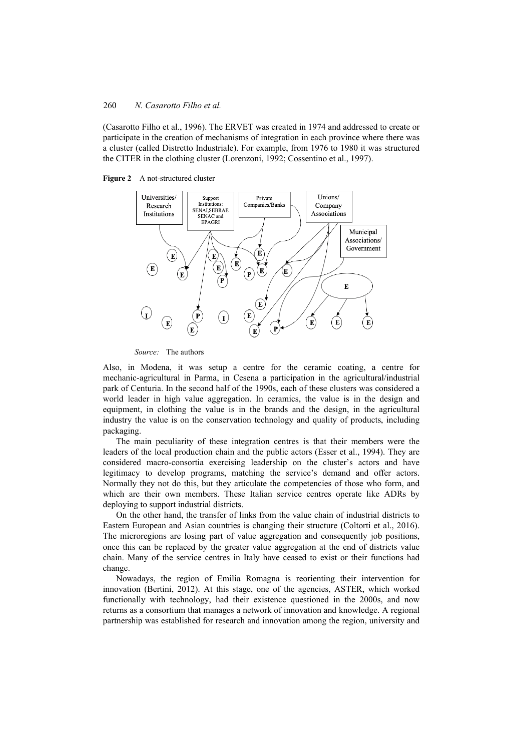(Casarotto Filho et al., 1996). The ERVET was created in 1974 and addressed to create or participate in the creation of mechanisms of integration in each province where there was a cluster (called Distretto Industriale). For example, from 1976 to 1980 it was structured the CITER in the clothing cluster (Lorenzoni, 1992; Cossentino et al., 1997).

**Figure 2** A not-structured cluster



*Source:* The authors

Also, in Modena, it was setup a centre for the ceramic coating, a centre for mechanic-agricultural in Parma, in Cesena a participation in the agricultural/industrial park of Centuria. In the second half of the 1990s, each of these clusters was considered a world leader in high value aggregation. In ceramics, the value is in the design and equipment, in clothing the value is in the brands and the design, in the agricultural industry the value is on the conservation technology and quality of products, including packaging.

The main peculiarity of these integration centres is that their members were the leaders of the local production chain and the public actors (Esser et al., 1994). They are considered macro-consortia exercising leadership on the cluster's actors and have legitimacy to develop programs, matching the service's demand and offer actors. Normally they not do this, but they articulate the competencies of those who form, and which are their own members. These Italian service centres operate like ADRs by deploying to support industrial districts.

On the other hand, the transfer of links from the value chain of industrial districts to Eastern European and Asian countries is changing their structure (Coltorti et al., 2016). The microregions are losing part of value aggregation and consequently job positions, once this can be replaced by the greater value aggregation at the end of districts value chain. Many of the service centres in Italy have ceased to exist or their functions had change.

Nowadays, the region of Emilia Romagna is reorienting their intervention for innovation (Bertini, 2012). At this stage, one of the agencies, ASTER, which worked functionally with technology, had their existence questioned in the 2000s, and now returns as a consortium that manages a network of innovation and knowledge. A regional partnership was established for research and innovation among the region, university and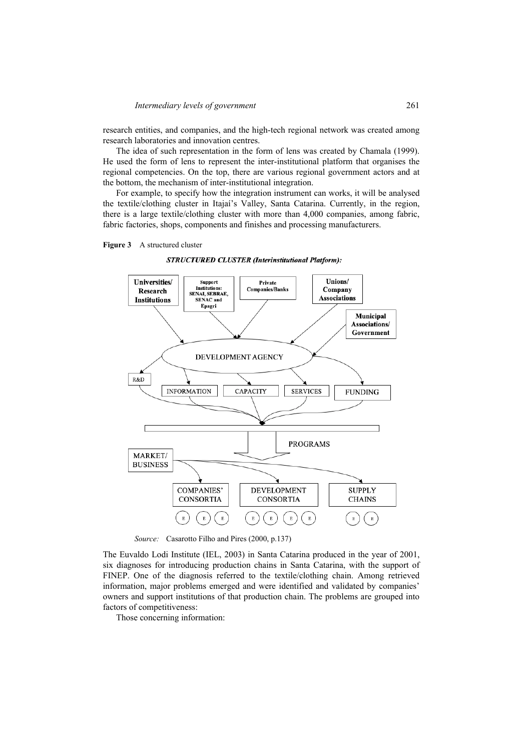research entities, and companies, and the high-tech regional network was created among research laboratories and innovation centres.

The idea of such representation in the form of lens was created by Chamala (1999). He used the form of lens to represent the inter-institutional platform that organises the regional competencies. On the top, there are various regional government actors and at the bottom, the mechanism of inter-institutional integration.

For example, to specify how the integration instrument can works, it will be analysed the textile/clothing cluster in Itajaí's Valley, Santa Catarina. Currently, in the region, there is a large textile/clothing cluster with more than 4,000 companies, among fabric, fabric factories, shops, components and finishes and processing manufacturers.





**STRUCTURED CLUSTER (Interinstitutional Platform):** 

*Source:* Casarotto Filho and Pires (2000, p.137)

The Euvaldo Lodi Institute (IEL, 2003) in Santa Catarina produced in the year of 2001, six diagnoses for introducing production chains in Santa Catarina, with the support of FINEP. One of the diagnosis referred to the textile/clothing chain. Among retrieved information, major problems emerged and were identified and validated by companies' owners and support institutions of that production chain. The problems are grouped into factors of competitiveness:

Those concerning information: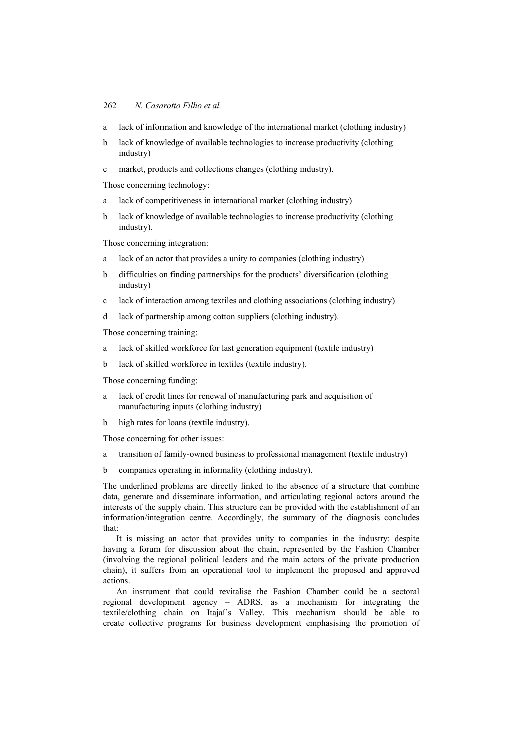- a lack of information and knowledge of the international market (clothing industry)
- b lack of knowledge of available technologies to increase productivity (clothing industry)
- c market, products and collections changes (clothing industry).

Those concerning technology:

- a lack of competitiveness in international market (clothing industry)
- b lack of knowledge of available technologies to increase productivity (clothing industry).

Those concerning integration:

- a lack of an actor that provides a unity to companies (clothing industry)
- b difficulties on finding partnerships for the products' diversification (clothing industry)
- c lack of interaction among textiles and clothing associations (clothing industry)
- d lack of partnership among cotton suppliers (clothing industry).

Those concerning training:

- a lack of skilled workforce for last generation equipment (textile industry)
- b lack of skilled workforce in textiles (textile industry).

Those concerning funding:

- a lack of credit lines for renewal of manufacturing park and acquisition of manufacturing inputs (clothing industry)
- b high rates for loans (textile industry).

Those concerning for other issues:

- a transition of family-owned business to professional management (textile industry)
- b companies operating in informality (clothing industry).

The underlined problems are directly linked to the absence of a structure that combine data, generate and disseminate information, and articulating regional actors around the interests of the supply chain. This structure can be provided with the establishment of an information/integration centre. Accordingly, the summary of the diagnosis concludes that:

It is missing an actor that provides unity to companies in the industry: despite having a forum for discussion about the chain, represented by the Fashion Chamber (involving the regional political leaders and the main actors of the private production chain), it suffers from an operational tool to implement the proposed and approved actions.

An instrument that could revitalise the Fashion Chamber could be a sectoral regional development agency – ADRS, as a mechanism for integrating the textile/clothing chain on Itajaí's Valley. This mechanism should be able to create collective programs for business development emphasising the promotion of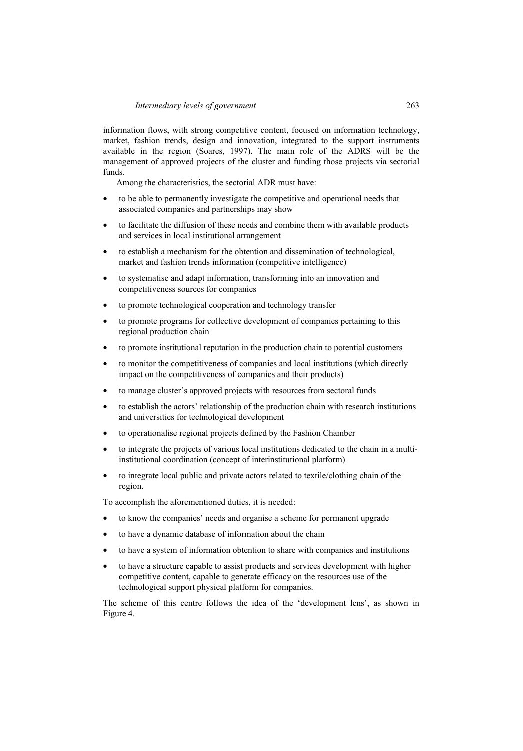information flows, with strong competitive content, focused on information technology, market, fashion trends, design and innovation, integrated to the support instruments available in the region (Soares, 1997). The main role of the ADRS will be the management of approved projects of the cluster and funding those projects via sectorial funds.

Among the characteristics, the sectorial ADR must have:

- to be able to permanently investigate the competitive and operational needs that associated companies and partnerships may show
- to facilitate the diffusion of these needs and combine them with available products and services in local institutional arrangement
- to establish a mechanism for the obtention and dissemination of technological, market and fashion trends information (competitive intelligence)
- to systematise and adapt information, transforming into an innovation and competitiveness sources for companies
- to promote technological cooperation and technology transfer
- to promote programs for collective development of companies pertaining to this regional production chain
- to promote institutional reputation in the production chain to potential customers
- to monitor the competitiveness of companies and local institutions (which directly impact on the competitiveness of companies and their products)
- to manage cluster's approved projects with resources from sectoral funds
- to establish the actors' relationship of the production chain with research institutions and universities for technological development
- to operationalise regional projects defined by the Fashion Chamber
- to integrate the projects of various local institutions dedicated to the chain in a multiinstitutional coordination (concept of interinstitutional platform)
- to integrate local public and private actors related to textile/clothing chain of the region.

To accomplish the aforementioned duties, it is needed:

- to know the companies' needs and organise a scheme for permanent upgrade
- to have a dynamic database of information about the chain
- to have a system of information obtention to share with companies and institutions
- to have a structure capable to assist products and services development with higher competitive content, capable to generate efficacy on the resources use of the technological support physical platform for companies.

The scheme of this centre follows the idea of the 'development lens', as shown in Figure 4.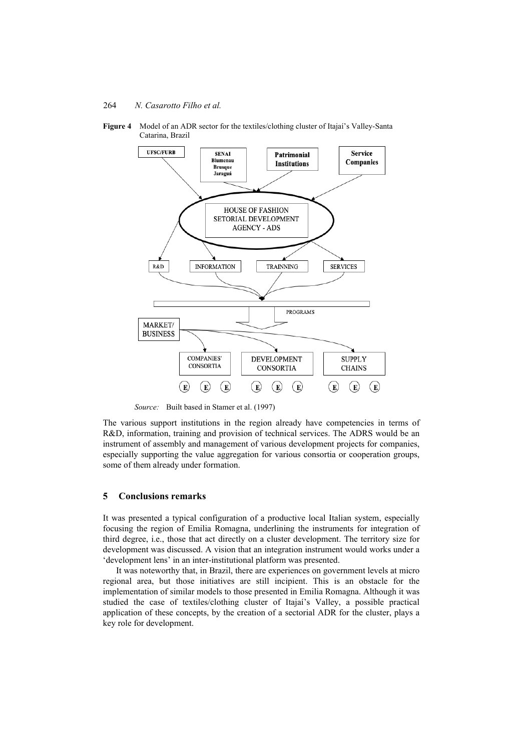

**Figure 4** Model of an ADR sector for the textiles/clothing cluster of Itajaí's Valley-Santa Catarina, Brazil

*Source:* Built based in Stamer et al. (1997)

The various support institutions in the region already have competencies in terms of R&D, information, training and provision of technical services. The ADRS would be an instrument of assembly and management of various development projects for companies, especially supporting the value aggregation for various consortia or cooperation groups, some of them already under formation.

#### **5 Conclusions remarks**

It was presented a typical configuration of a productive local Italian system, especially focusing the region of Emilia Romagna, underlining the instruments for integration of third degree, i.e., those that act directly on a cluster development. The territory size for development was discussed. A vision that an integration instrument would works under a 'development lens' in an inter-institutional platform was presented.

It was noteworthy that, in Brazil, there are experiences on government levels at micro regional area, but those initiatives are still incipient. This is an obstacle for the implementation of similar models to those presented in Emilia Romagna. Although it was studied the case of textiles/clothing cluster of Itajaí's Valley, a possible practical application of these concepts, by the creation of a sectorial ADR for the cluster, plays a key role for development.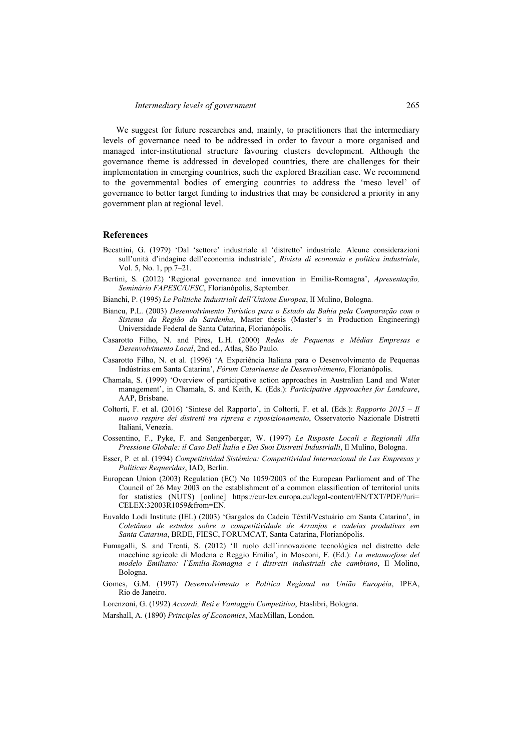We suggest for future researches and, mainly, to practitioners that the intermediary levels of governance need to be addressed in order to favour a more organised and managed inter-institutional structure favouring clusters development. Although the governance theme is addressed in developed countries, there are challenges for their implementation in emerging countries, such the explored Brazilian case. We recommend to the governmental bodies of emerging countries to address the 'meso level' of governance to better target funding to industries that may be considered a priority in any government plan at regional level.

#### **References**

- Becattini, G. (1979) 'Dal 'settore' industriale al 'distretto' industriale. Alcune considerazioni sull'unità d'indagine dell'economia industriale', *Rivista di economia e politica industriale*, Vol. 5, No. 1, pp.7–21.
- Bertini, S. (2012) 'Regional governance and innovation in Emilia-Romagna', *Apresentação, Seminário FAPESC/UFSC*, Florianópolis, September.

Bianchi, P. (1995) *Le Politiche Industriali dell´Unione Europea*, II Mulino, Bologna.

- Biancu, P.L. (2003) *Desenvolvimento Turístico para o Estado da Bahia pela Comparação com o Sistema da Região da Sardenha*, Master thesis (Master's in Production Engineering) Universidade Federal de Santa Catarina, Florianópolis.
- Casarotto Filho, N. and Pires, L.H. (2000) *Redes de Pequenas e Médias Empresas e Desenvolvimento Local*, 2nd ed., Atlas, São Paulo.
- Casarotto Filho, N. et al. (1996) 'A Experiência Italiana para o Desenvolvimento de Pequenas Indústrias em Santa Catarina', *Fórum Catarinense de Desenvolvimento*, Florianópolis.
- Chamala, S. (1999) 'Overview of participative action approaches in Australian Land and Water management', in Chamala, S. and Keith, K. (Eds.): *Participative Approaches for Landcare*, AAP, Brisbane.
- Coltorti, F. et al. (2016) 'Sintese del Rapporto', in Coltorti, F. et al. (Eds.): *Rapporto 2015 Il nuovo respire dei distretti tra ripresa e riposizionamento*, Osservatorio Nazionale Distretti Italiani, Venezia.
- Cossentino, F., Pyke, F. and Sengenberger, W. (1997) *Le Risposte Locali e Regionali Alla Pressione Globale: il Caso Dell Ítalia e Dei Suoi Distretti Industrialli*, Il Mulino, Bologna.
- Esser, P. et al. (1994) *Competitividad Sistémica: Competitividad Internacional de Las Empresas y Políticas Requeridas*, IAD, Berlin.
- European Union (2003) Regulation (EC) No 1059/2003 of the European Parliament and of The Council of 26 May 2003 on the establishment of a common classification of territorial units for statistics (NUTS) [online] https://eur-lex.europa.eu/legal-content/EN/TXT/PDF/?uri= CELEX:32003R1059&from=EN.
- Euvaldo Lodi Institute (IEL) (2003) 'Gargalos da Cadeia Têxtil/Vestuário em Santa Catarina', in *Coletânea de estudos sobre a competitividade de Arranjos e cadeias produtivas em Santa Catarina*, BRDE, FIESC, FORUMCAT, Santa Catarina, Florianópolis.
- Fumagalli, S. and Trenti, S. (2012) 'Il ruolo dell`innovazione tecnológica nel distretto dele macchine agricole di Modena e Reggio Emilia', in Mosconi, F. (Ed.): *La metamorfose del modelo Emiliano: l`Emilia-Romagna e i distretti industriali che cambiano*, Il Molino, Bologna.
- Gomes, G.M. (1997) *Desenvolvimento e Política Regional na União Européia*, IPEA, Rio de Janeiro.
- Lorenzoni, G. (1992) *Accordi, Reti e Vantaggio Competitivo*, Etaslibri, Bologna.
- Marshall, A. (1890) *Principles of Economics*, MacMillan, London.